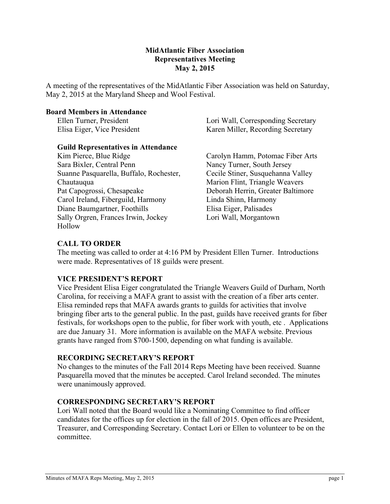### **MidAtlantic Fiber Association Representatives Meeting May 2, 2015**

A meeting of the representatives of the MidAtlantic Fiber Association was held on Saturday, May 2, 2015 at the Maryland Sheep and Wool Festival.

#### **Board Members in Attendance**

Ellen Turner, President Elisa Eiger, Vice President Lori Wall, Corresponding Secretary Karen Miller, Recording Secretary

# **Guild Representatives in Attendance**

Kim Pierce, Blue Ridge Sara Bixler, Central Penn Suanne Pasquarella, Buffalo, Rochester, Chautauqua Pat Capogrossi, Chesapeake Carol Ireland, Fiberguild, Harmony Diane Baumgartner, Foothills Sally Orgren, Frances Irwin, Jockey Hollow

Carolyn Hamm, Potomac Fiber Arts Nancy Turner, South Jersey Cecile Stiner, Susquehanna Valley Marion Flint, Triangle Weavers Deborah Herrin, Greater Baltimore Linda Shinn, Harmony Elisa Eiger, Palisades Lori Wall, Morgantown

# **CALL TO ORDER**

The meeting was called to order at 4:16 PM by President Ellen Turner. Introductions were made. Representatives of 18 guilds were present.

## **VICE PRESIDENT'S REPORT**

Vice President Elisa Eiger congratulated the Triangle Weavers Guild of Durham, North Carolina, for receiving a MAFA grant to assist with the creation of a fiber arts center. Elisa reminded reps that MAFA awards grants to guilds for activities that involve bringing fiber arts to the general public. In the past, guilds have received grants for fiber festivals, for workshops open to the public, for fiber work with youth, etc . Applications are due January 31. More information is available on the MAFA website. Previous grants have ranged from \$700-1500, depending on what funding is available.

## **RECORDING SECRETARY'S REPORT**

No changes to the minutes of the Fall 2014 Reps Meeting have been received. Suanne Pasquarella moved that the minutes be accepted. Carol Ireland seconded. The minutes were unanimously approved.

## **CORRESPONDING SECRETARY'S REPORT**

Lori Wall noted that the Board would like a Nominating Committee to find officer candidates for the offices up for election in the fall of 2015. Open offices are President, Treasurer, and Corresponding Secretary. Contact Lori or Ellen to volunteer to be on the committee.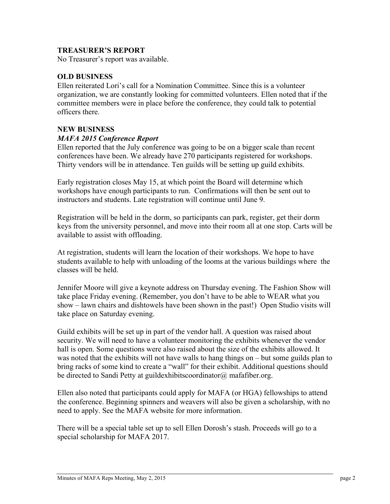## **TREASURER'S REPORT**

No Treasurer's report was available.

#### **OLD BUSINESS**

Ellen reiterated Lori's call for a Nomination Committee. Since this is a volunteer organization, we are constantly looking for committed volunteers. Ellen noted that if the committee members were in place before the conference, they could talk to potential officers there.

#### **NEW BUSINESS**

#### *MAFA 2015 Conference Report*

Ellen reported that the July conference was going to be on a bigger scale than recent conferences have been. We already have 270 participants registered for workshops. Thirty vendors will be in attendance. Ten guilds will be setting up guild exhibits.

Early registration closes May 15, at which point the Board will determine which workshops have enough participants to run. Confirmations will then be sent out to instructors and students. Late registration will continue until June 9.

Registration will be held in the dorm, so participants can park, register, get their dorm keys from the university personnel, and move into their room all at one stop. Carts will be available to assist with offloading.

At registration, students will learn the location of their workshops. We hope to have students available to help with unloading of the looms at the various buildings where the classes will be held.

Jennifer Moore will give a keynote address on Thursday evening. The Fashion Show will take place Friday evening. (Remember, you don't have to be able to WEAR what you show – lawn chairs and dishtowels have been shown in the past!) Open Studio visits will take place on Saturday evening.

Guild exhibits will be set up in part of the vendor hall. A question was raised about security. We will need to have a volunteer monitoring the exhibits whenever the vendor hall is open. Some questions were also raised about the size of the exhibits allowed. It was noted that the exhibits will not have walls to hang things on – but some guilds plan to bring racks of some kind to create a "wall" for their exhibit. Additional questions should be directed to Sandi Petty at guildexhibits coordinator  $\omega$  mafafiber.org.

Ellen also noted that participants could apply for MAFA (or HGA) fellowships to attend the conference. Beginning spinners and weavers will also be given a scholarship, with no need to apply. See the MAFA website for more information.

There will be a special table set up to sell Ellen Dorosh's stash. Proceeds will go to a special scholarship for MAFA 2017.